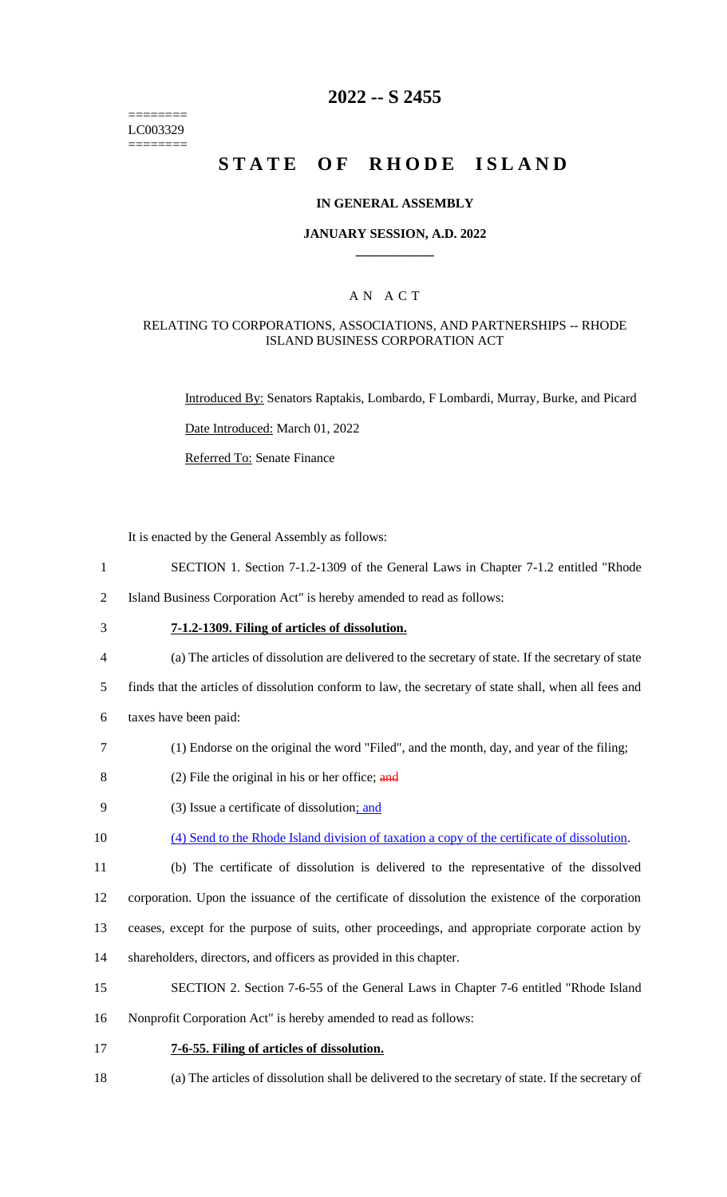======== LC003329 ========

# **2022 -- S 2455**

# **STATE OF RHODE ISLAND**

#### **IN GENERAL ASSEMBLY**

#### **JANUARY SESSION, A.D. 2022 \_\_\_\_\_\_\_\_\_\_\_\_**

### A N A C T

#### RELATING TO CORPORATIONS, ASSOCIATIONS, AND PARTNERSHIPS -- RHODE ISLAND BUSINESS CORPORATION ACT

Introduced By: Senators Raptakis, Lombardo, F Lombardi, Murray, Burke, and Picard

Date Introduced: March 01, 2022

Referred To: Senate Finance

It is enacted by the General Assembly as follows:

- 1 SECTION 1. Section 7-1.2-1309 of the General Laws in Chapter 7-1.2 entitled "Rhode
- 2 Island Business Corporation Act" is hereby amended to read as follows:
- 

# 3 **7-1.2-1309. Filing of articles of dissolution.**

- 4 (a) The articles of dissolution are delivered to the secretary of state. If the secretary of state
- 5 finds that the articles of dissolution conform to law, the secretary of state shall, when all fees and
- 6 taxes have been paid:
- 7 (1) Endorse on the original the word "Filed", and the month, day, and year of the filing;
- 8 (2) File the original in his or her office;  $\frac{and}{in}$
- 9 (3) Issue a certificate of dissolution; and
- 10 (4) Send to the Rhode Island division of taxation a copy of the certificate of dissolution.
- 11 (b) The certificate of dissolution is delivered to the representative of the dissolved

12 corporation. Upon the issuance of the certificate of dissolution the existence of the corporation

- 13 ceases, except for the purpose of suits, other proceedings, and appropriate corporate action by
- 14 shareholders, directors, and officers as provided in this chapter.
- 15 SECTION 2. Section 7-6-55 of the General Laws in Chapter 7-6 entitled "Rhode Island
- 16 Nonprofit Corporation Act" is hereby amended to read as follows:
- 17 **7-6-55. Filing of articles of dissolution.**
- 18 (a) The articles of dissolution shall be delivered to the secretary of state. If the secretary of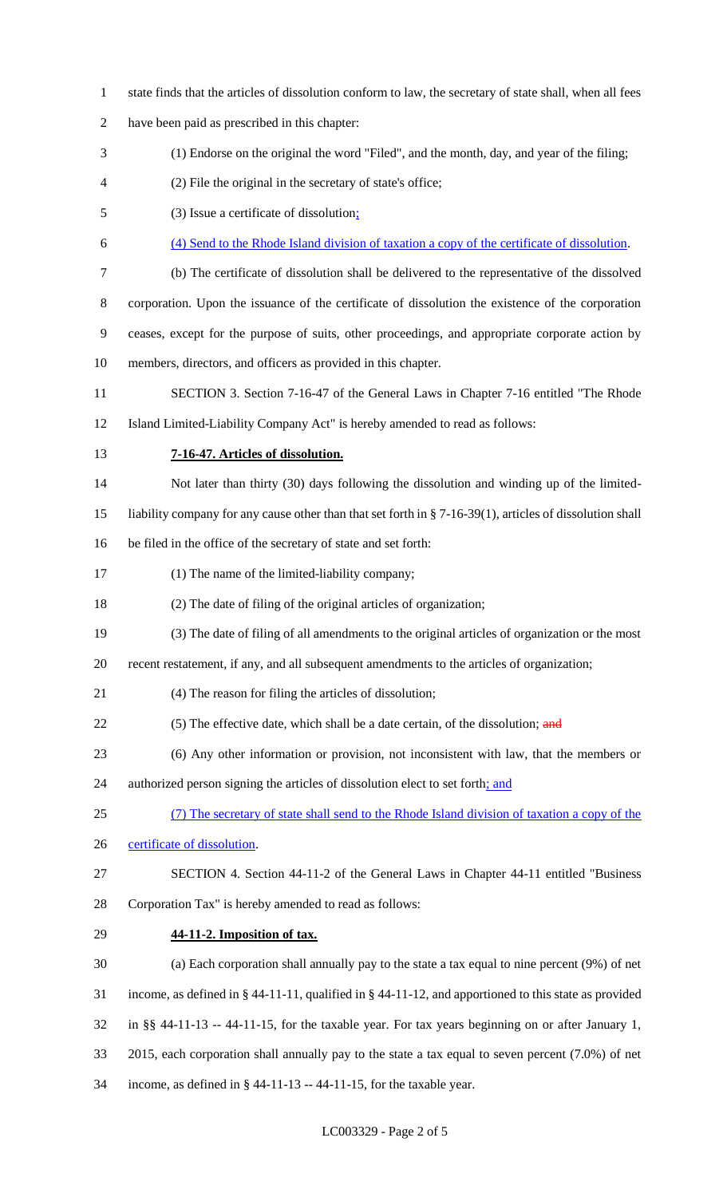state finds that the articles of dissolution conform to law, the secretary of state shall, when all fees have been paid as prescribed in this chapter: (1) Endorse on the original the word "Filed", and the month, day, and year of the filing; (2) File the original in the secretary of state's office; (3) Issue a certificate of dissolution; (4) Send to the Rhode Island division of taxation a copy of the certificate of dissolution. (b) The certificate of dissolution shall be delivered to the representative of the dissolved corporation. Upon the issuance of the certificate of dissolution the existence of the corporation ceases, except for the purpose of suits, other proceedings, and appropriate corporate action by members, directors, and officers as provided in this chapter. SECTION 3. Section 7-16-47 of the General Laws in Chapter 7-16 entitled "The Rhode Island Limited-Liability Company Act" is hereby amended to read as follows: **7-16-47. Articles of dissolution.** Not later than thirty (30) days following the dissolution and winding up of the limited- liability company for any cause other than that set forth in § 7-16-39(1), articles of dissolution shall be filed in the office of the secretary of state and set forth: (1) The name of the limited-liability company; (2) The date of filing of the original articles of organization; (3) The date of filing of all amendments to the original articles of organization or the most recent restatement, if any, and all subsequent amendments to the articles of organization; (4) The reason for filing the articles of dissolution; 22 (5) The effective date, which shall be a date certain, of the dissolution; and (6) Any other information or provision, not inconsistent with law, that the members or 24 authorized person signing the articles of dissolution elect to set forth; and (7) The secretary of state shall send to the Rhode Island division of taxation a copy of the 26 certificate of dissolution. SECTION 4. Section 44-11-2 of the General Laws in Chapter 44-11 entitled "Business Corporation Tax" is hereby amended to read as follows: **44-11-2. Imposition of tax.** (a) Each corporation shall annually pay to the state a tax equal to nine percent (9%) of net income, as defined in § 44-11-11, qualified in § 44-11-12, and apportioned to this state as provided in §§ 44-11-13 -- 44-11-15, for the taxable year. For tax years beginning on or after January 1, 2015, each corporation shall annually pay to the state a tax equal to seven percent (7.0%) of net income, as defined in § 44-11-13 -- 44-11-15, for the taxable year.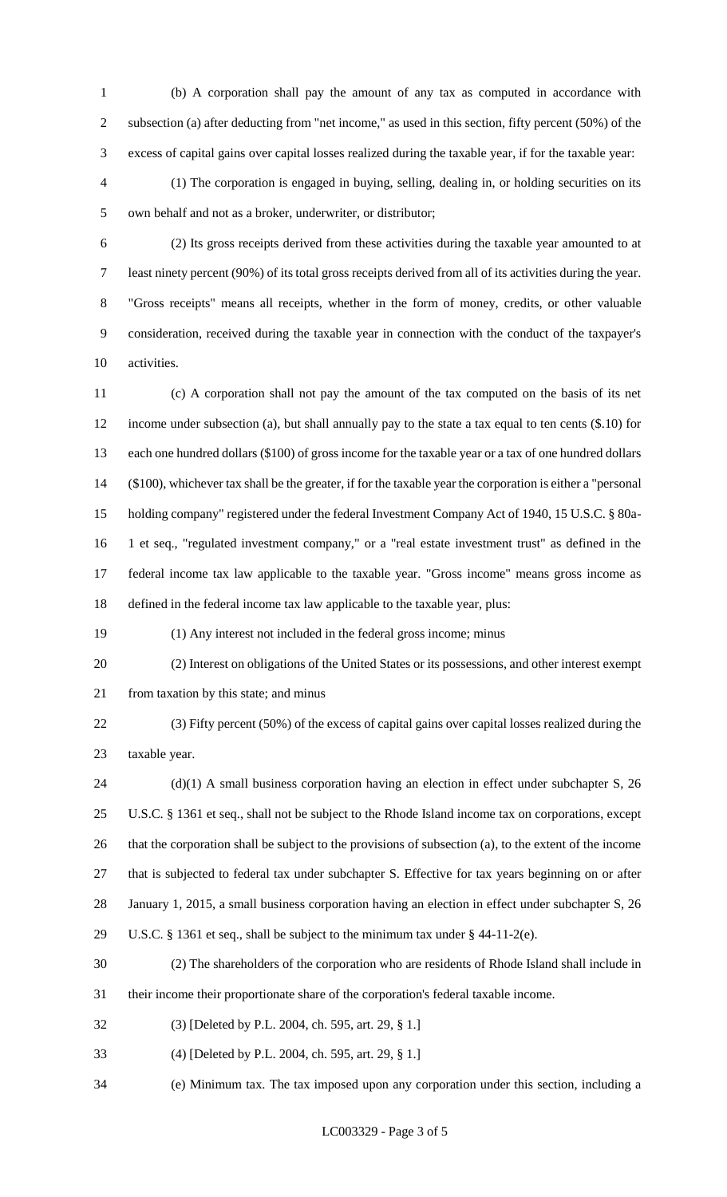(b) A corporation shall pay the amount of any tax as computed in accordance with subsection (a) after deducting from "net income," as used in this section, fifty percent (50%) of the excess of capital gains over capital losses realized during the taxable year, if for the taxable year:

 (1) The corporation is engaged in buying, selling, dealing in, or holding securities on its own behalf and not as a broker, underwriter, or distributor;

 (2) Its gross receipts derived from these activities during the taxable year amounted to at least ninety percent (90%) of its total gross receipts derived from all of its activities during the year. "Gross receipts" means all receipts, whether in the form of money, credits, or other valuable consideration, received during the taxable year in connection with the conduct of the taxpayer's activities.

 (c) A corporation shall not pay the amount of the tax computed on the basis of its net income under subsection (a), but shall annually pay to the state a tax equal to ten cents (\$.10) for each one hundred dollars (\$100) of gross income for the taxable year or a tax of one hundred dollars (\$100), whichever tax shall be the greater, if for the taxable year the corporation is either a "personal holding company" registered under the federal Investment Company Act of 1940, 15 U.S.C. § 80a- 1 et seq., "regulated investment company," or a "real estate investment trust" as defined in the federal income tax law applicable to the taxable year. "Gross income" means gross income as defined in the federal income tax law applicable to the taxable year, plus:

(1) Any interest not included in the federal gross income; minus

 (2) Interest on obligations of the United States or its possessions, and other interest exempt 21 from taxation by this state; and minus

 (3) Fifty percent (50%) of the excess of capital gains over capital losses realized during the taxable year.

24 (d)(1) A small business corporation having an election in effect under subchapter S, 26 U.S.C. § 1361 et seq., shall not be subject to the Rhode Island income tax on corporations, except that the corporation shall be subject to the provisions of subsection (a), to the extent of the income that is subjected to federal tax under subchapter S. Effective for tax years beginning on or after January 1, 2015, a small business corporation having an election in effect under subchapter S, 26 U.S.C. § 1361 et seq., shall be subject to the minimum tax under § 44-11-2(e).

(2) The shareholders of the corporation who are residents of Rhode Island shall include in

their income their proportionate share of the corporation's federal taxable income.

(3) [Deleted by P.L. 2004, ch. 595, art. 29, § 1.]

(4) [Deleted by P.L. 2004, ch. 595, art. 29, § 1.]

(e) Minimum tax. The tax imposed upon any corporation under this section, including a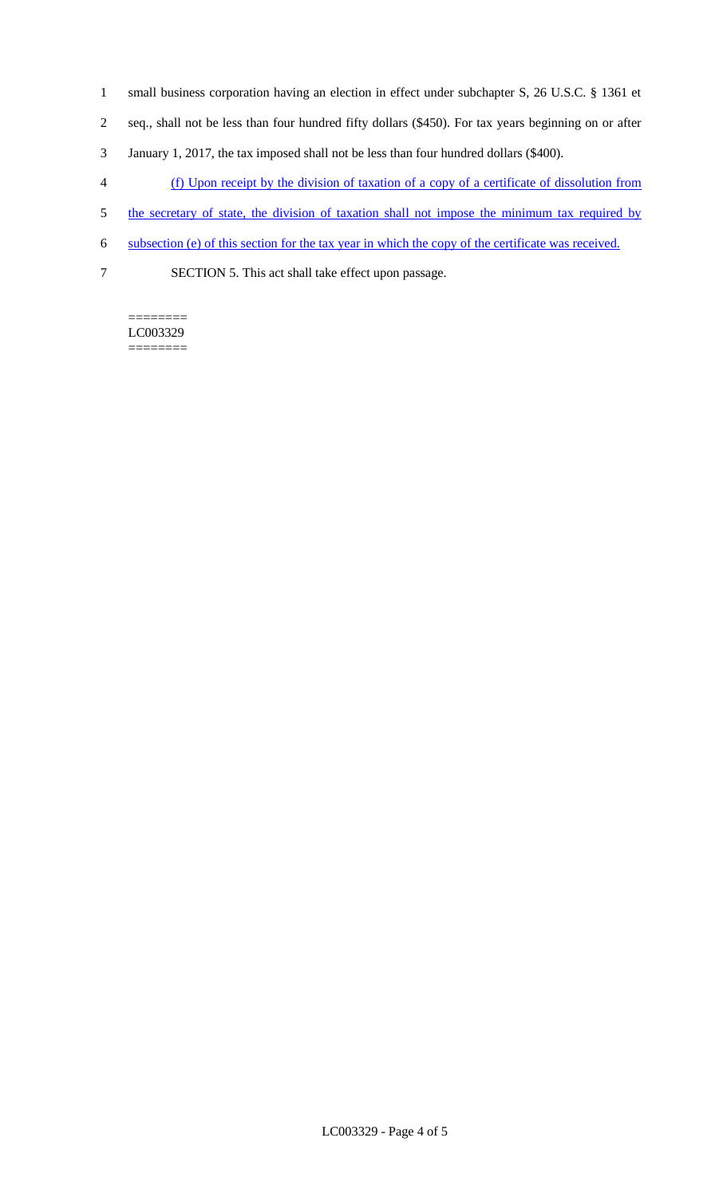- 1 small business corporation having an election in effect under subchapter S, 26 U.S.C. § 1361 et
- 2 seq., shall not be less than four hundred fifty dollars (\$450). For tax years beginning on or after
- 3 January 1, 2017, the tax imposed shall not be less than four hundred dollars (\$400).
- 4 (f) Upon receipt by the division of taxation of a copy of a certificate of dissolution from
- 5 the secretary of state, the division of taxation shall not impose the minimum tax required by
- 6 subsection (e) of this section for the tax year in which the copy of the certificate was received.
- 
- 7 SECTION 5. This act shall take effect upon passage.

======== LC003329 ========